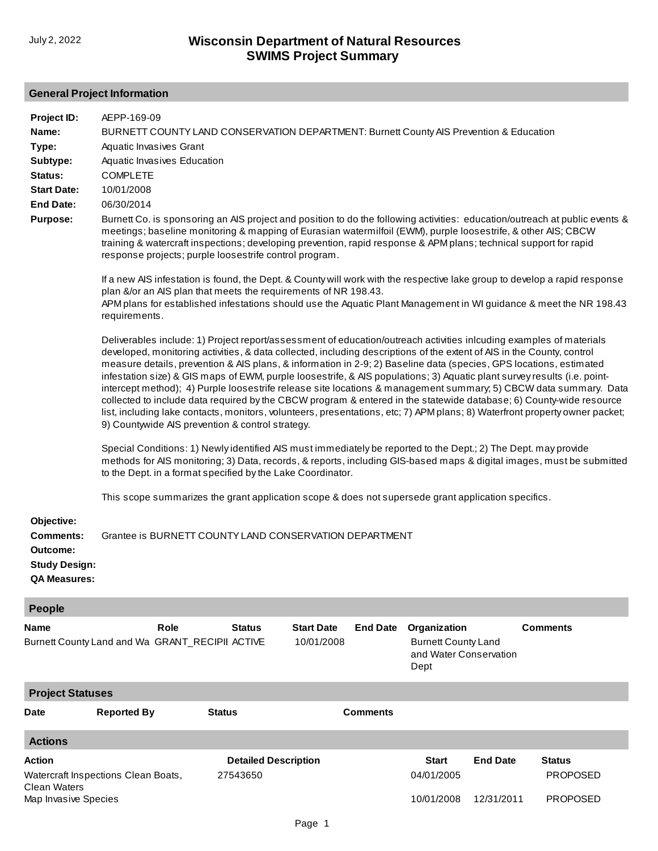# **General Project Information**

| Project ID:<br>Name:<br>Type:<br>Subtype:<br>Status:<br><b>Start Date:</b><br><b>End Date:</b><br><b>Purpose:</b> | AEPP-169-09<br>BURNETT COUNTY LAND CONSERVATION DEPARTMENT: Burnett County AIS Prevention & Education<br>Aquatic Invasives Grant<br>Aquatic Invasives Education<br><b>COMPLETE</b><br>10/01/2008<br>06/30/2014<br>Burnett Co. is sponsoring an AIS project and position to do the following activities: education/outreach at public events &<br>meetings; baseline monitoring & mapping of Eurasian watermilfoil (EWM), purple loosestrife, & other AIS; CBCW<br>training & watercraft inspections; developing prevention, rapid response & APM plans; technical support for rapid<br>response projects; purple loosestrife control program.<br>If a new AIS infestation is found, the Dept. & County will work with the respective lake group to develop a rapid response<br>plan &/or an AIS plan that meets the requirements of NR 198.43.<br>APM plans for established infestations should use the Aquatic Plant Management in WI guidance & meet the NR 198.43<br>requirements.<br>Deliverables include: 1) Project report/assessment of education/outreach activities inlcuding examples of materials<br>developed, monitoring activities, & data collected, including descriptions of the extent of AIS in the County, control<br>measure details, prevention & AIS plans, & information in 2-9; 2) Baseline data (species, GPS locations, estimated<br>infestation size) & GIS maps of EWM, purple loosestrife, & AIS populations; 3) Aquatic plant survey results (i.e. point-<br>intercept method); 4) Purple loosestrife release site locations & management summary; 5) CBCW data summary. Data<br>collected to include data required by the CBCW program & entered in the statewide database; 6) County-wide resource<br>list, including lake contacts, monitors, volunteers, presentations, etc; 7) APM plans; 8) Waterfront property owner packet;<br>9) Countywide AIS prevention & control strategy.<br>Special Conditions: 1) Newly identified AIS must immediately be reported to the Dept.; 2) The Dept. may provide<br>methods for AIS monitoring; 3) Data, records, & reports, including GIS-based maps & digital images, must be submitted<br>to the Dept. in a format specified by the Lake Coordinator. |                                         |                                 |                 |                                                                              |                               | This scope summarizes the grant application scope & does not supersede grant application specifics. |
|-------------------------------------------------------------------------------------------------------------------|-----------------------------------------------------------------------------------------------------------------------------------------------------------------------------------------------------------------------------------------------------------------------------------------------------------------------------------------------------------------------------------------------------------------------------------------------------------------------------------------------------------------------------------------------------------------------------------------------------------------------------------------------------------------------------------------------------------------------------------------------------------------------------------------------------------------------------------------------------------------------------------------------------------------------------------------------------------------------------------------------------------------------------------------------------------------------------------------------------------------------------------------------------------------------------------------------------------------------------------------------------------------------------------------------------------------------------------------------------------------------------------------------------------------------------------------------------------------------------------------------------------------------------------------------------------------------------------------------------------------------------------------------------------------------------------------------------------------------------------------------------------------------------------------------------------------------------------------------------------------------------------------------------------------------------------------------------------------------------------------------------------------------------------------------------------------------------------------------------------------------------------------------------------------------------------------------------------------------------------|-----------------------------------------|---------------------------------|-----------------|------------------------------------------------------------------------------|-------------------------------|-----------------------------------------------------------------------------------------------------|
| Objective:<br><b>Comments:</b><br>Outcome:<br><b>Study Design:</b><br><b>QA Measures:</b>                         | Grantee is BURNETT COUNTY LAND CONSERVATION DEPARTMENT                                                                                                                                                                                                                                                                                                                                                                                                                                                                                                                                                                                                                                                                                                                                                                                                                                                                                                                                                                                                                                                                                                                                                                                                                                                                                                                                                                                                                                                                                                                                                                                                                                                                                                                                                                                                                                                                                                                                                                                                                                                                                                                                                                            |                                         |                                 |                 |                                                                              |                               |                                                                                                     |
| People                                                                                                            |                                                                                                                                                                                                                                                                                                                                                                                                                                                                                                                                                                                                                                                                                                                                                                                                                                                                                                                                                                                                                                                                                                                                                                                                                                                                                                                                                                                                                                                                                                                                                                                                                                                                                                                                                                                                                                                                                                                                                                                                                                                                                                                                                                                                                                   |                                         |                                 |                 |                                                                              |                               |                                                                                                     |
| <b>Name</b>                                                                                                       | Role<br>Burnett County Land and Wa GRANT_RECIPII ACTIVE                                                                                                                                                                                                                                                                                                                                                                                                                                                                                                                                                                                                                                                                                                                                                                                                                                                                                                                                                                                                                                                                                                                                                                                                                                                                                                                                                                                                                                                                                                                                                                                                                                                                                                                                                                                                                                                                                                                                                                                                                                                                                                                                                                           | <b>Status</b>                           | <b>Start Date</b><br>10/01/2008 | <b>End Date</b> | Organization<br><b>Burnett County Land</b><br>and Water Conservation<br>Dept |                               | <b>Comments</b>                                                                                     |
| <b>Project Statuses</b>                                                                                           |                                                                                                                                                                                                                                                                                                                                                                                                                                                                                                                                                                                                                                                                                                                                                                                                                                                                                                                                                                                                                                                                                                                                                                                                                                                                                                                                                                                                                                                                                                                                                                                                                                                                                                                                                                                                                                                                                                                                                                                                                                                                                                                                                                                                                                   |                                         |                                 |                 |                                                                              |                               |                                                                                                     |
| <b>Date</b>                                                                                                       | <b>Reported By</b>                                                                                                                                                                                                                                                                                                                                                                                                                                                                                                                                                                                                                                                                                                                                                                                                                                                                                                                                                                                                                                                                                                                                                                                                                                                                                                                                                                                                                                                                                                                                                                                                                                                                                                                                                                                                                                                                                                                                                                                                                                                                                                                                                                                                                | <b>Status</b>                           |                                 | <b>Comments</b> |                                                                              |                               |                                                                                                     |
| <b>Actions</b>                                                                                                    |                                                                                                                                                                                                                                                                                                                                                                                                                                                                                                                                                                                                                                                                                                                                                                                                                                                                                                                                                                                                                                                                                                                                                                                                                                                                                                                                                                                                                                                                                                                                                                                                                                                                                                                                                                                                                                                                                                                                                                                                                                                                                                                                                                                                                                   |                                         |                                 |                 |                                                                              |                               |                                                                                                     |
| <b>Action</b><br><b>Clean Waters</b>                                                                              | Watercraft Inspections Clean Boats,                                                                                                                                                                                                                                                                                                                                                                                                                                                                                                                                                                                                                                                                                                                                                                                                                                                                                                                                                                                                                                                                                                                                                                                                                                                                                                                                                                                                                                                                                                                                                                                                                                                                                                                                                                                                                                                                                                                                                                                                                                                                                                                                                                                               | <b>Detailed Description</b><br>27543650 |                                 |                 | <b>Start</b><br>04/01/2005<br>10/01/2008                                     | <b>End Date</b><br>12/31/2011 | <b>Status</b><br><b>PROPOSED</b><br><b>PROPOSED</b>                                                 |
| Map Invasive Species                                                                                              |                                                                                                                                                                                                                                                                                                                                                                                                                                                                                                                                                                                                                                                                                                                                                                                                                                                                                                                                                                                                                                                                                                                                                                                                                                                                                                                                                                                                                                                                                                                                                                                                                                                                                                                                                                                                                                                                                                                                                                                                                                                                                                                                                                                                                                   |                                         |                                 |                 |                                                                              |                               |                                                                                                     |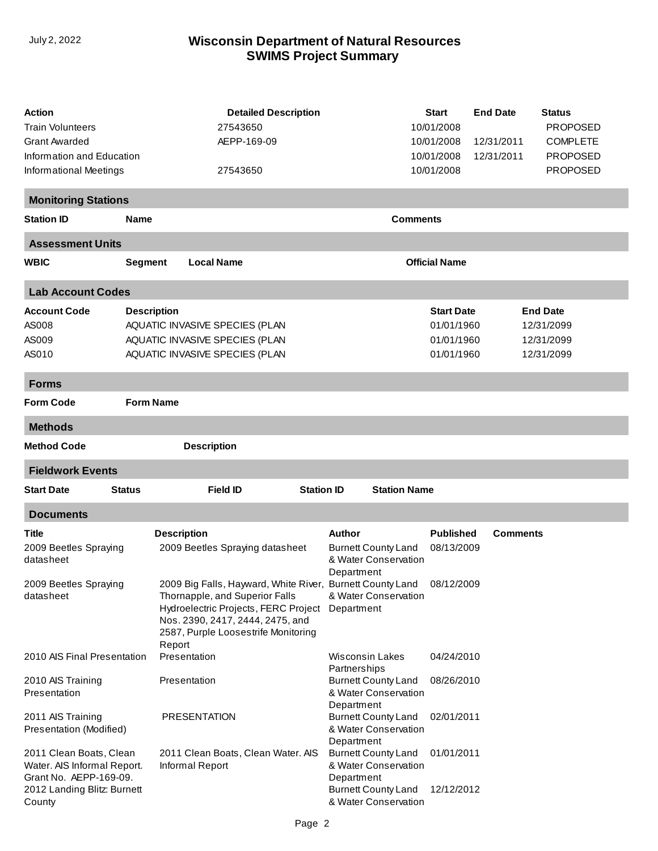| <b>Action</b><br>Train Volunteers<br><b>Grant Awarded</b><br>Information and Education<br>Informational Meetings          |                    | <b>Detailed Description</b><br>27543650<br>AEPP-169-09<br>27543650                                                                                                                                                        |                   |                                                                                                                        | <b>Start</b><br>10/01/2008<br>10/01/2008<br>10/01/2008<br>10/01/2008 | <b>End Date</b><br>12/31/2011<br>12/31/2011 | <b>Status</b><br><b>PROPOSED</b><br><b>COMPLETE</b><br><b>PROPOSED</b><br><b>PROPOSED</b> |
|---------------------------------------------------------------------------------------------------------------------------|--------------------|---------------------------------------------------------------------------------------------------------------------------------------------------------------------------------------------------------------------------|-------------------|------------------------------------------------------------------------------------------------------------------------|----------------------------------------------------------------------|---------------------------------------------|-------------------------------------------------------------------------------------------|
| <b>Monitoring Stations</b>                                                                                                |                    |                                                                                                                                                                                                                           |                   |                                                                                                                        |                                                                      |                                             |                                                                                           |
| <b>Station ID</b>                                                                                                         | <b>Name</b>        |                                                                                                                                                                                                                           |                   |                                                                                                                        | <b>Comments</b>                                                      |                                             |                                                                                           |
| <b>Assessment Units</b>                                                                                                   |                    |                                                                                                                                                                                                                           |                   |                                                                                                                        |                                                                      |                                             |                                                                                           |
| <b>WBIC</b>                                                                                                               | <b>Segment</b>     | <b>Local Name</b>                                                                                                                                                                                                         |                   |                                                                                                                        | <b>Official Name</b>                                                 |                                             |                                                                                           |
| <b>Lab Account Codes</b>                                                                                                  |                    |                                                                                                                                                                                                                           |                   |                                                                                                                        |                                                                      |                                             |                                                                                           |
| <b>Account Code</b><br>AS008<br>AS009<br>AS010                                                                            | <b>Description</b> | AQUATIC INVASIVE SPECIES (PLAN<br>AQUATIC INVASIVE SPECIES (PLAN<br>AQUATIC INVASIVE SPECIES (PLAN                                                                                                                        |                   |                                                                                                                        | <b>Start Date</b><br>01/01/1960<br>01/01/1960<br>01/01/1960          |                                             | <b>End Date</b><br>12/31/2099<br>12/31/2099<br>12/31/2099                                 |
| <b>Forms</b>                                                                                                              |                    |                                                                                                                                                                                                                           |                   |                                                                                                                        |                                                                      |                                             |                                                                                           |
| <b>Form Code</b>                                                                                                          | <b>Form Name</b>   |                                                                                                                                                                                                                           |                   |                                                                                                                        |                                                                      |                                             |                                                                                           |
| <b>Methods</b>                                                                                                            |                    |                                                                                                                                                                                                                           |                   |                                                                                                                        |                                                                      |                                             |                                                                                           |
| <b>Method Code</b>                                                                                                        |                    | <b>Description</b>                                                                                                                                                                                                        |                   |                                                                                                                        |                                                                      |                                             |                                                                                           |
| <b>Fieldwork Events</b>                                                                                                   |                    |                                                                                                                                                                                                                           |                   |                                                                                                                        |                                                                      |                                             |                                                                                           |
| <b>Start Date</b><br><b>Status</b>                                                                                        |                    | <b>Field ID</b>                                                                                                                                                                                                           | <b>Station ID</b> | <b>Station Name</b>                                                                                                    |                                                                      |                                             |                                                                                           |
| <b>Documents</b>                                                                                                          |                    |                                                                                                                                                                                                                           |                   |                                                                                                                        |                                                                      |                                             |                                                                                           |
| Title<br>2009 Beetles Spraying<br>datasheet                                                                               | <b>Description</b> | 2009 Beetles Spraying datasheet                                                                                                                                                                                           |                   | Author<br><b>Burnett County Land</b><br>& Water Conservation<br>Department                                             | <b>Published</b><br>08/13/2009                                       | <b>Comments</b>                             |                                                                                           |
| 2009 Beetles Spraying<br>datasheet                                                                                        | Report             | 2009 Big Falls, Hayward, White River, Burnett County Land 08/12/2009<br>Thornapple, and Superior Falls<br>Hydroelectric Projects, FERC Project<br>Nos. 2390, 2417, 2444, 2475, and<br>2587, Purple Loosestrife Monitoring |                   | & Water Conservation<br>Department                                                                                     |                                                                      |                                             |                                                                                           |
| 2010 AIS Final Presentation                                                                                               |                    | Presentation                                                                                                                                                                                                              |                   | Wisconsin Lakes<br>Partnerships                                                                                        | 04/24/2010                                                           |                                             |                                                                                           |
| 2010 AIS Training<br>Presentation                                                                                         |                    | Presentation                                                                                                                                                                                                              |                   | <b>Burnett County Land</b><br>& Water Conservation<br>Department                                                       | 08/26/2010                                                           |                                             |                                                                                           |
| 2011 AIS Training<br>Presentation (Modified)                                                                              |                    | <b>PRESENTATION</b>                                                                                                                                                                                                       |                   | <b>Burnett County Land</b><br>& Water Conservation<br>Department                                                       | 02/01/2011                                                           |                                             |                                                                                           |
| 2011 Clean Boats, Clean<br>Water. AIS Informal Report.<br>Grant No. AEPP-169-09.<br>2012 Landing Blitz: Burnett<br>County |                    | 2011 Clean Boats, Clean Water. AIS<br>Informal Report                                                                                                                                                                     |                   | <b>Burnett County Land</b><br>& Water Conservation<br>Department<br><b>Burnett County Land</b><br>& Water Conservation | 01/01/2011<br>12/12/2012                                             |                                             |                                                                                           |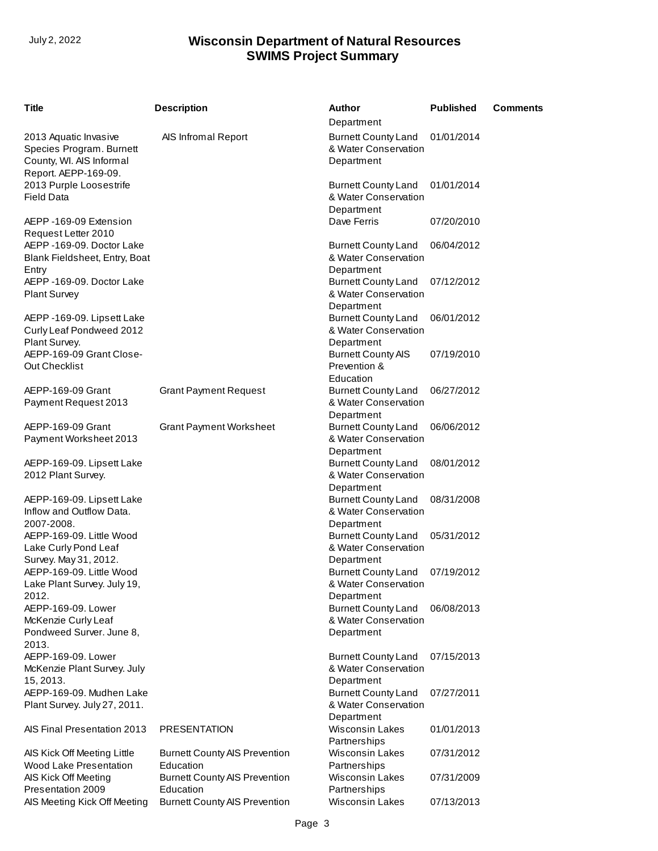| <b>Title</b>                                                                                          | <b>Description</b>                                | <b>Author</b><br>Department                                      | <b>Published</b> | <b>Comments</b> |
|-------------------------------------------------------------------------------------------------------|---------------------------------------------------|------------------------------------------------------------------|------------------|-----------------|
| 2013 Aquatic Invasive<br>Species Program. Burnett<br>County, WI. AIS Informal<br>Report. AEPP-169-09. | AIS Infromal Report                               | <b>Burnett County Land</b><br>& Water Conservation<br>Department | 01/01/2014       |                 |
| 2013 Purple Loosestrife<br><b>Field Data</b>                                                          |                                                   | <b>Burnett County Land</b><br>& Water Conservation<br>Department | 01/01/2014       |                 |
| AEPP-169-09 Extension<br>Request Letter 2010                                                          |                                                   | Dave Ferris                                                      | 07/20/2010       |                 |
| AEPP -169-09. Doctor Lake<br>Blank Fieldsheet, Entry, Boat<br>Entry                                   |                                                   | <b>Burnett County Land</b><br>& Water Conservation<br>Department | 06/04/2012       |                 |
| AEPP -169-09. Doctor Lake<br><b>Plant Survey</b>                                                      |                                                   | <b>Burnett County Land</b><br>& Water Conservation<br>Department | 07/12/2012       |                 |
| AEPP -169-09. Lipsett Lake<br>Curly Leaf Pondweed 2012<br>Plant Survey.                               |                                                   | <b>Burnett County Land</b><br>& Water Conservation<br>Department | 06/01/2012       |                 |
| AEPP-169-09 Grant Close-<br>Out Checklist                                                             |                                                   | <b>Burnett County AIS</b><br>Prevention &<br>Education           | 07/19/2010       |                 |
| AEPP-169-09 Grant<br>Payment Request 2013                                                             | <b>Grant Payment Request</b>                      | <b>Burnett County Land</b><br>& Water Conservation<br>Department | 06/27/2012       |                 |
| AEPP-169-09 Grant<br>Payment Worksheet 2013                                                           | <b>Grant Payment Worksheet</b>                    | <b>Burnett County Land</b><br>& Water Conservation<br>Department | 06/06/2012       |                 |
| AEPP-169-09. Lipsett Lake<br>2012 Plant Survey.                                                       |                                                   | <b>Burnett County Land</b><br>& Water Conservation<br>Department | 08/01/2012       |                 |
| AEPP-169-09. Lipsett Lake<br>Inflow and Outflow Data.<br>2007-2008.                                   |                                                   | <b>Burnett County Land</b><br>& Water Conservation<br>Department | 08/31/2008       |                 |
| AEPP-169-09. Little Wood<br>Lake Curly Pond Leaf<br>Survey. May 31, 2012.                             |                                                   | <b>Burnett County Land</b><br>& Water Conservation<br>Department | 05/31/2012       |                 |
| AEPP-169-09. Little Wood<br>Lake Plant Survey. July 19,<br>2012.                                      |                                                   | <b>Burnett County Land</b><br>& Water Conservation<br>Department | 07/19/2012       |                 |
| AEPP-169-09. Lower<br>McKenzie Curly Leaf<br>Pondweed Surver. June 8,<br>2013.                        |                                                   | <b>Burnett County Land</b><br>& Water Conservation<br>Department | 06/08/2013       |                 |
| AEPP-169-09. Lower<br>McKenzie Plant Survey. July<br>15, 2013.                                        |                                                   | <b>Burnett County Land</b><br>& Water Conservation<br>Department | 07/15/2013       |                 |
| AEPP-169-09. Mudhen Lake<br>Plant Survey. July 27, 2011.                                              |                                                   | <b>Burnett County Land</b><br>& Water Conservation<br>Department | 07/27/2011       |                 |
| AIS Final Presentation 2013                                                                           | <b>PRESENTATION</b>                               | <b>Wisconsin Lakes</b><br>Partnerships                           | 01/01/2013       |                 |
| AIS Kick Off Meeting Little<br>Wood Lake Presentation                                                 | <b>Burnett County AIS Prevention</b><br>Education | <b>Wisconsin Lakes</b><br>Partnerships                           | 07/31/2012       |                 |
| AIS Kick Off Meeting<br>Presentation 2009                                                             | <b>Burnett County AIS Prevention</b><br>Education | <b>Wisconsin Lakes</b><br>Partnerships                           | 07/31/2009       |                 |
| AIS Meeting Kick Off Meeting                                                                          | <b>Burnett County AIS Prevention</b>              | <b>Wisconsin Lakes</b>                                           | 07/13/2013       |                 |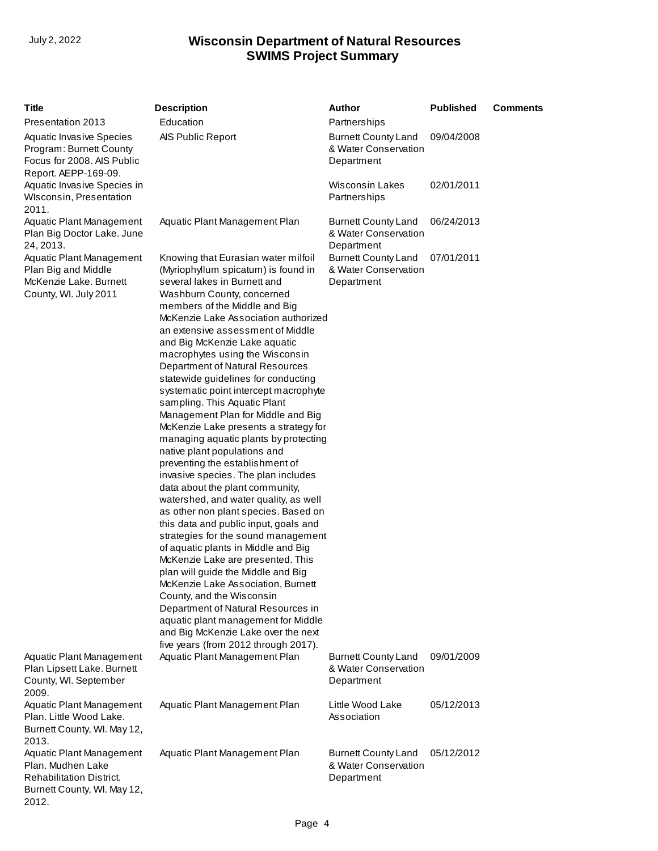2012.

| <b>Title</b>                                                                                                     | <b>Description</b>                                                                                                                                                                                                                                                                                                                                                                                                                                                                                                                                                                                                                                                                                                                                                                                                                                                                                                                                                                                                                                                                                                                                                                                                           | <b>Author</b>                                                    | <b>Published</b> | <b>Comments</b> |
|------------------------------------------------------------------------------------------------------------------|------------------------------------------------------------------------------------------------------------------------------------------------------------------------------------------------------------------------------------------------------------------------------------------------------------------------------------------------------------------------------------------------------------------------------------------------------------------------------------------------------------------------------------------------------------------------------------------------------------------------------------------------------------------------------------------------------------------------------------------------------------------------------------------------------------------------------------------------------------------------------------------------------------------------------------------------------------------------------------------------------------------------------------------------------------------------------------------------------------------------------------------------------------------------------------------------------------------------------|------------------------------------------------------------------|------------------|-----------------|
| Presentation 2013                                                                                                | Education                                                                                                                                                                                                                                                                                                                                                                                                                                                                                                                                                                                                                                                                                                                                                                                                                                                                                                                                                                                                                                                                                                                                                                                                                    | Partnerships                                                     |                  |                 |
| <b>Aquatic Invasive Species</b><br>Program: Burnett County<br>Focus for 2008. AIS Public<br>Report. AEPP-169-09. | AIS Public Report                                                                                                                                                                                                                                                                                                                                                                                                                                                                                                                                                                                                                                                                                                                                                                                                                                                                                                                                                                                                                                                                                                                                                                                                            | <b>Burnett County Land</b><br>& Water Conservation<br>Department | 09/04/2008       |                 |
| Aquatic Invasive Species in<br>WIsconsin, Presentation<br>2011.                                                  |                                                                                                                                                                                                                                                                                                                                                                                                                                                                                                                                                                                                                                                                                                                                                                                                                                                                                                                                                                                                                                                                                                                                                                                                                              | <b>Wisconsin Lakes</b><br>Partnerships                           | 02/01/2011       |                 |
| <b>Aquatic Plant Management</b><br>Plan Big Doctor Lake. June<br>24, 2013.                                       | Aquatic Plant Management Plan                                                                                                                                                                                                                                                                                                                                                                                                                                                                                                                                                                                                                                                                                                                                                                                                                                                                                                                                                                                                                                                                                                                                                                                                | <b>Burnett County Land</b><br>& Water Conservation<br>Department | 06/24/2013       |                 |
| Aquatic Plant Management<br>Plan Big and Middle<br>McKenzie Lake. Burnett<br>County, WI. July 2011               | Knowing that Eurasian water milfoil<br>(Myriophyllum spicatum) is found in<br>several lakes in Burnett and<br>Washburn County, concerned<br>members of the Middle and Big<br>McKenzie Lake Association authorized<br>an extensive assessment of Middle<br>and Big McKenzie Lake aquatic<br>macrophytes using the Wisconsin<br>Department of Natural Resources<br>statewide guidelines for conducting<br>systematic point intercept macrophyte<br>sampling. This Aquatic Plant<br>Management Plan for Middle and Big<br>McKenzie Lake presents a strategy for<br>managing aquatic plants by protecting<br>native plant populations and<br>preventing the establishment of<br>invasive species. The plan includes<br>data about the plant community,<br>watershed, and water quality, as well<br>as other non plant species. Based on<br>this data and public input, goals and<br>strategies for the sound management<br>of aquatic plants in Middle and Big<br>McKenzie Lake are presented. This<br>plan will guide the Middle and Big<br>McKenzie Lake Association, Burnett<br>County, and the Wisconsin<br>Department of Natural Resources in<br>aquatic plant management for Middle<br>and Big McKenzie Lake over the next | <b>Burnett County Land</b><br>& Water Conservation<br>Department | 07/01/2011       |                 |
| <b>Aquatic Plant Management</b><br>Plan Lipsett Lake. Burnett<br>County, WI. September<br>2009.                  | five years (from 2012 through 2017).<br>Aquatic Plant Management Plan                                                                                                                                                                                                                                                                                                                                                                                                                                                                                                                                                                                                                                                                                                                                                                                                                                                                                                                                                                                                                                                                                                                                                        | <b>Burnett County Land</b><br>& Water Conservation<br>Department | 09/01/2009       |                 |
| <b>Aquatic Plant Management</b><br>Plan. Little Wood Lake.<br>Burnett County, WI. May 12,<br>2013.               | Aquatic Plant Management Plan                                                                                                                                                                                                                                                                                                                                                                                                                                                                                                                                                                                                                                                                                                                                                                                                                                                                                                                                                                                                                                                                                                                                                                                                | Little Wood Lake<br>Association                                  | 05/12/2013       |                 |
| Aquatic Plant Management<br>Plan, Mudhen Lake<br><b>Rehabilitation District.</b><br>Burnett County, WI. May 12,  | Aquatic Plant Management Plan                                                                                                                                                                                                                                                                                                                                                                                                                                                                                                                                                                                                                                                                                                                                                                                                                                                                                                                                                                                                                                                                                                                                                                                                | <b>Burnett County Land</b><br>& Water Conservation<br>Department | 05/12/2012       |                 |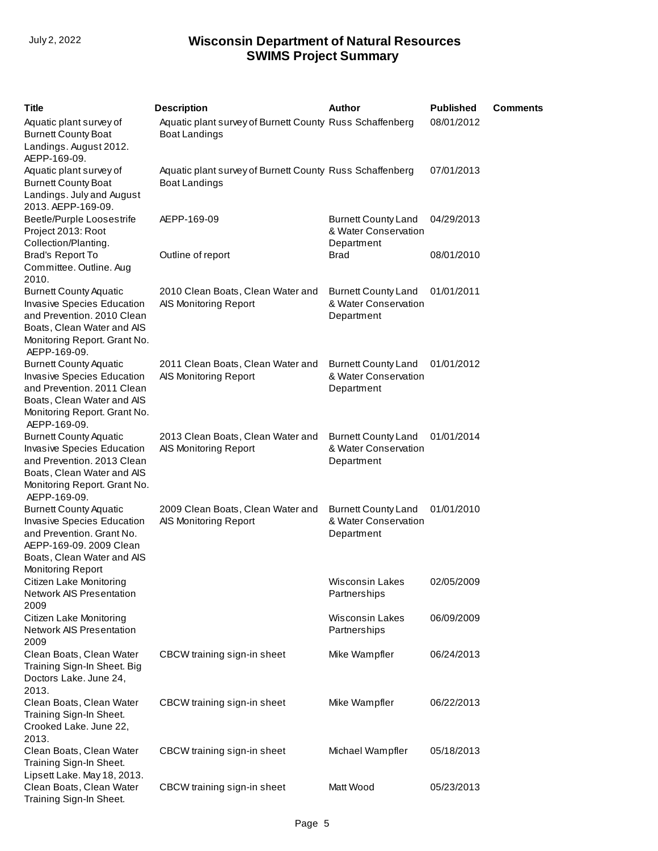| <b>Title</b>                                                                                                                                                                   | <b>Description</b>                                                               | Author                                                           | <b>Published</b> | <b>Comments</b> |
|--------------------------------------------------------------------------------------------------------------------------------------------------------------------------------|----------------------------------------------------------------------------------|------------------------------------------------------------------|------------------|-----------------|
| Aquatic plant survey of<br><b>Burnett County Boat</b><br>Landings. August 2012.<br>AEPP-169-09.                                                                                | Aquatic plant survey of Burnett County Russ Schaffenberg<br><b>Boat Landings</b> |                                                                  | 08/01/2012       |                 |
| Aquatic plant survey of<br><b>Burnett County Boat</b><br>Landings. July and August<br>2013. AEPP-169-09.                                                                       | Aquatic plant survey of Burnett County Russ Schaffenberg<br><b>Boat Landings</b> |                                                                  | 07/01/2013       |                 |
| Beetle/Purple Loosestrife<br>Project 2013: Root<br>Collection/Planting.                                                                                                        | AEPP-169-09                                                                      | <b>Burnett County Land</b><br>& Water Conservation<br>Department | 04/29/2013       |                 |
| Brad's Report To<br>Committee. Outline. Aug<br>2010.                                                                                                                           | Outline of report                                                                | <b>Brad</b>                                                      | 08/01/2010       |                 |
| <b>Burnett County Aquatic</b><br>Invasive Species Education<br>and Prevention. 2010 Clean<br>Boats, Clean Water and AIS<br>Monitoring Report. Grant No.<br>AEPP-169-09.        | 2010 Clean Boats, Clean Water and<br>AIS Monitoring Report                       | <b>Burnett County Land</b><br>& Water Conservation<br>Department | 01/01/2011       |                 |
| <b>Burnett County Aquatic</b><br><b>Invasive Species Education</b><br>and Prevention. 2011 Clean<br>Boats, Clean Water and AIS<br>Monitoring Report. Grant No.<br>AEPP-169-09. | 2011 Clean Boats, Clean Water and<br>AIS Monitoring Report                       | <b>Burnett County Land</b><br>& Water Conservation<br>Department | 01/01/2012       |                 |
| <b>Burnett County Aquatic</b><br><b>Invasive Species Education</b><br>and Prevention. 2013 Clean<br>Boats, Clean Water and AIS<br>Monitoring Report. Grant No.<br>AEPP-169-09. | 2013 Clean Boats, Clean Water and<br>AIS Monitoring Report                       | <b>Burnett County Land</b><br>& Water Conservation<br>Department | 01/01/2014       |                 |
| <b>Burnett County Aquatic</b><br>Invasive Species Education<br>and Prevention. Grant No.<br>AEPP-169-09. 2009 Clean<br>Boats, Clean Water and AIS<br><b>Monitoring Report</b>  | 2009 Clean Boats, Clean Water and<br>AIS Monitoring Report                       | <b>Burnett County Land</b><br>& Water Conservation<br>Department | 01/01/2010       |                 |
| Citizen Lake Monitoring<br><b>Network AIS Presentation</b><br>2009                                                                                                             |                                                                                  | <b>Wisconsin Lakes</b><br>Partnerships                           | 02/05/2009       |                 |
| Citizen Lake Monitoring<br><b>Network AIS Presentation</b><br>2009                                                                                                             |                                                                                  | <b>Wisconsin Lakes</b><br>Partnerships                           | 06/09/2009       |                 |
| Clean Boats, Clean Water<br>Training Sign-In Sheet. Big<br>Doctors Lake. June 24,<br>2013.                                                                                     | CBCW training sign-in sheet                                                      | Mike Wampfler                                                    | 06/24/2013       |                 |
| Clean Boats, Clean Water<br>Training Sign-In Sheet.<br>Crooked Lake. June 22,<br>2013.                                                                                         | CBCW training sign-in sheet                                                      | Mike Wampfler                                                    | 06/22/2013       |                 |
| Clean Boats, Clean Water<br>Training Sign-In Sheet.<br>Lipsett Lake. May 18, 2013.                                                                                             | CBCW training sign-in sheet                                                      | Michael Wampfler                                                 | 05/18/2013       |                 |
| Clean Boats, Clean Water<br>Training Sign-In Sheet.                                                                                                                            | CBCW training sign-in sheet                                                      | Matt Wood                                                        | 05/23/2013       |                 |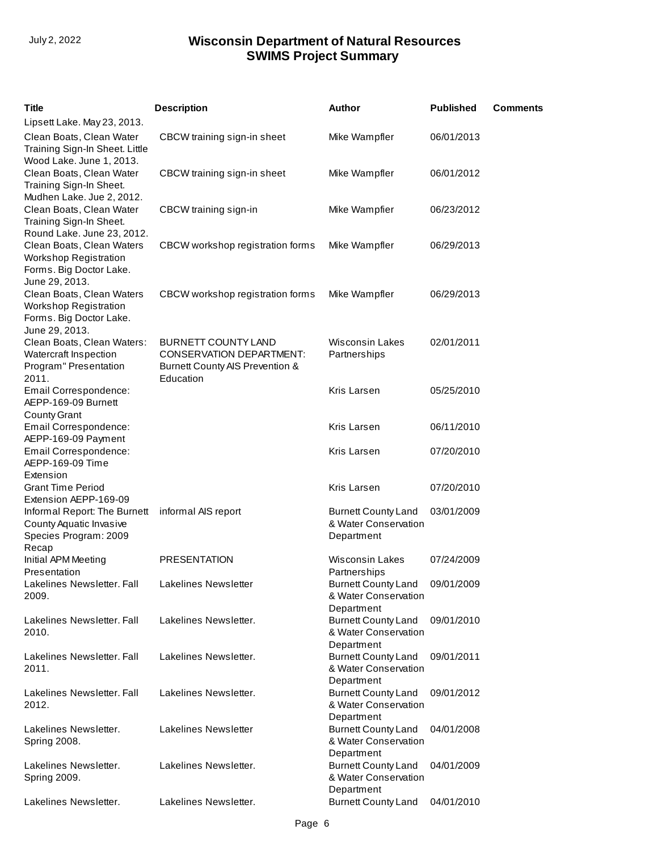| Title                                                                                                                         | <b>Description</b>                                                                                            | Author                                                           | <b>Published</b> | <b>Comments</b> |
|-------------------------------------------------------------------------------------------------------------------------------|---------------------------------------------------------------------------------------------------------------|------------------------------------------------------------------|------------------|-----------------|
| Lipsett Lake. May 23, 2013.<br>Clean Boats, Clean Water                                                                       | CBCW training sign-in sheet                                                                                   | Mike Wampfler                                                    | 06/01/2013       |                 |
| Training Sign-In Sheet. Little<br>Wood Lake. June 1, 2013.                                                                    |                                                                                                               |                                                                  |                  |                 |
| Clean Boats, Clean Water<br>Training Sign-In Sheet.<br>Mudhen Lake. Jue 2, 2012.                                              | CBCW training sign-in sheet                                                                                   | Mike Wampfler                                                    | 06/01/2012       |                 |
| Clean Boats, Clean Water<br>Training Sign-In Sheet.                                                                           | CBCW training sign-in                                                                                         | Mike Wampfier                                                    | 06/23/2012       |                 |
| Round Lake. June 23, 2012.<br>Clean Boats, Clean Waters<br>Workshop Registration<br>Forms. Big Doctor Lake.<br>June 29, 2013. | CBCW workshop registration forms                                                                              | Mike Wampfler                                                    | 06/29/2013       |                 |
| Clean Boats, Clean Waters<br><b>Workshop Registration</b><br>Forms. Big Doctor Lake.<br>June 29, 2013.                        | CBCW workshop registration forms                                                                              | Mike Wampfler                                                    | 06/29/2013       |                 |
| Clean Boats, Clean Waters:<br>Watercraft Inspection<br>Program" Presentation<br>2011.                                         | <b>BURNETT COUNTY LAND</b><br><b>CONSERVATION DEPARTMENT:</b><br>Burnett County AIS Prevention &<br>Education | <b>Wisconsin Lakes</b><br>Partnerships                           | 02/01/2011       |                 |
| Email Correspondence:<br>AEPP-169-09 Burnett<br><b>County Grant</b>                                                           |                                                                                                               | Kris Larsen                                                      | 05/25/2010       |                 |
| Email Correspondence:<br>AEPP-169-09 Payment                                                                                  |                                                                                                               | Kris Larsen                                                      | 06/11/2010       |                 |
| Email Correspondence:<br>AEPP-169-09 Time<br>Extension                                                                        |                                                                                                               | Kris Larsen                                                      | 07/20/2010       |                 |
| <b>Grant Time Period</b><br>Extension AEPP-169-09                                                                             |                                                                                                               | Kris Larsen                                                      | 07/20/2010       |                 |
| Informal Report: The Burnett<br>County Aquatic Invasive<br>Species Program: 2009<br>Recap                                     | informal AIS report                                                                                           | <b>Burnett County Land</b><br>& Water Conservation<br>Department | 03/01/2009       |                 |
| Initial APM Meeting<br>Presentation                                                                                           | <b>PRESENTATION</b>                                                                                           | <b>Wisconsin Lakes</b><br>Partnerships                           | 07/24/2009       |                 |
| Lakelines Newsletter. Fall<br>2009.                                                                                           | Lakelines Newsletter                                                                                          | <b>Burnett County Land</b><br>& Water Conservation<br>Department | 09/01/2009       |                 |
| Lakelines Newsletter, Fall<br>2010.                                                                                           | Lakelines Newsletter.                                                                                         | <b>Burnett County Land</b><br>& Water Conservation<br>Department | 09/01/2010       |                 |
| Lakelines Newsletter. Fall<br>2011.                                                                                           | Lakelines Newsletter.                                                                                         | <b>Burnett County Land</b><br>& Water Conservation<br>Department | 09/01/2011       |                 |
| Lakelines Newsletter. Fall<br>2012.                                                                                           | Lakelines Newsletter.                                                                                         | <b>Burnett County Land</b><br>& Water Conservation<br>Department | 09/01/2012       |                 |
| Lakelines Newsletter.<br><b>Spring 2008.</b>                                                                                  | Lakelines Newsletter                                                                                          | <b>Burnett County Land</b><br>& Water Conservation<br>Department | 04/01/2008       |                 |
| Lakelines Newsletter.<br><b>Spring 2009.</b>                                                                                  | Lakelines Newsletter.                                                                                         | <b>Burnett County Land</b><br>& Water Conservation<br>Department | 04/01/2009       |                 |
| Lakelines Newsletter.                                                                                                         | Lakelines Newsletter.                                                                                         | <b>Burnett County Land</b>                                       | 04/01/2010       |                 |